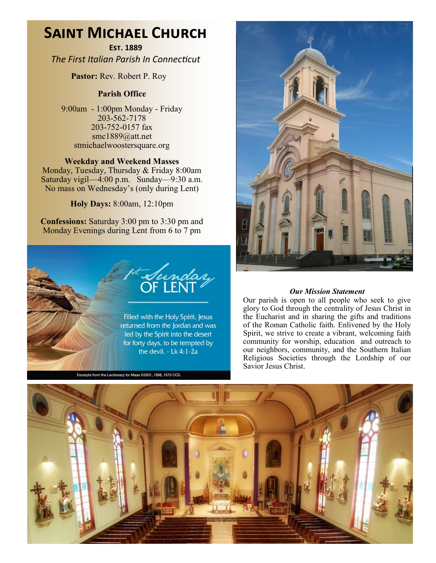# **Saint Michael Church**

**Est. 1889** *The First Italian Parish In Connecticut*

**Pastor:** Rev. Robert P. Roy

## **Parish Office**

9:00am - 1:00pm Monday - Friday 203-562-7178 203-752-0157 fax smc1889@att.net stmichaelwoostersquare.org

## **Weekday and Weekend Masses**

Monday, Tuesday, Thursday & Friday 8:00am Saturday vigil—4:00 p.m. Sunday—9:30 a.m. No mass on Wednesday's (only during Lent)

**Holy Days:** 8:00am, 12:10pm

**Confessions:** Saturday 3:00 pm to 3:30 pm and Monday Evenings during Lent from 6 to 7 pm



Excerpts from the Lectionary for Mass ©2001, 1998, 1970 CCD.



#### *Our Mission Statement*

Our parish is open to all people who seek to give glory to God through the centrality of Jesus Christ in the Eucharist and in sharing the gifts and traditions of the Roman Catholic faith. Enlivened by the Holy Spirit, we strive to create a vibrant, welcoming faith community for worship, education and outreach to our neighbors, community, and the Southern Italian Religious Societies through the Lordship of our Savior Jesus Christ.

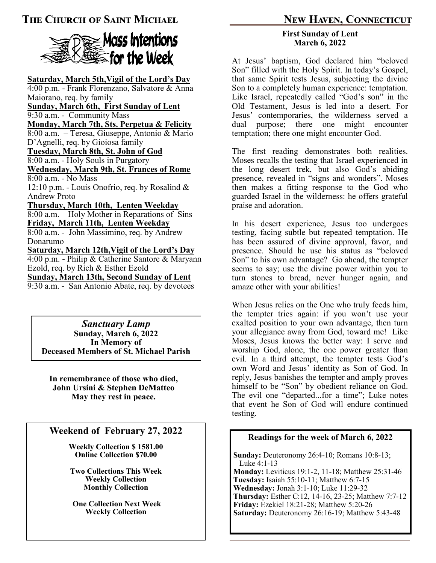## **The Church of Saint Michael New Haven, Connecticut**



**Saturday, March 5th,Vigil of the Lord's Day** 4:00 p.m. - Frank Florenzano, Salvatore & Anna Maiorano, req. by family **Sunday, March 6th, First Sunday of Lent** 9:30 a.m. - Community Mass **Monday, March 7th, Sts. Perpetua & Felicity** 8:00 a.m. – Teresa, Giuseppe, Antonio & Mario D'Agnelli, req. by Gioiosa family **Tuesday, March 8th, St. John of God** 8:00 a.m. - Holy Souls in Purgatory **Wednesday, March 9th, St. Frances of Rome** 8:00 a.m. - No Mass 12:10 p.m. - Louis Onofrio, req. by Rosalind & Andrew Proto **Thursday, March 10th, Lenten Weekday** 8:00 a.m. – Holy Mother in Reparations of Sins **Friday, March 11th, Lenten Weekday** 8:00 a.m. - John Massimino, req. by Andrew Donarumo **Saturday, March 12th,Vigil of the Lord's Day** 4:00 p.m. - Philip & Catherine Santore & Maryann Ezold, req. by Rich & Esther Ezold **Sunday, March 13th, Second Sunday of Lent** 9:30 a.m. - San Antonio Abate, req. by devotees

*Sanctuary Lamp* **Sunday, March 6, 2022 In Memory of Deceased Members of St. Michael Parish**

**In remembrance of those who died, John Ursini & Stephen DeMatteo May they rest in peace.** 

## **Weekend of February 27, 2022**

**Weekly Collection \$ 1581.00 Online Collection \$70.00**

**Two Collections This Week Weekly Collection Monthly Collection**

**One Collection Next Week Weekly Collection**

#### **First Sunday of Lent March 6, 2022**

At Jesus' baptism, God declared him "beloved Son" filled with the Holy Spirit. In today's Gospel, that same Spirit tests Jesus, subjecting the divine Son to a completely human experience: temptation. Like Israel, repeatedly called "God's son" in the Old Testament, Jesus is led into a desert. For Jesus' contemporaries, the wilderness served a dual purpose; there one might encounter temptation; there one might encounter God.

The first reading demonstrates both realities. Moses recalls the testing that Israel experienced in the long desert trek, but also God's abiding presence, revealed in "signs and wonders". Moses then makes a fitting response to the God who guarded Israel in the wilderness: he offers grateful praise and adoration.

In his desert experience, Jesus too undergoes testing, facing subtle but repeated temptation. He has been assured of divine approval, favor, and presence. Should he use his status as "beloved Son" to his own advantage? Go ahead, the tempter seems to say; use the divine power within you to turn stones to bread, never hunger again, and amaze other with your abilities!

When Jesus relies on the One who truly feeds him, the tempter tries again: if you won't use your exalted position to your own advantage, then turn your allegiance away from God, toward me! Like Moses, Jesus knows the better way: I serve and worship God, alone, the one power greater than evil. In a third attempt, the tempter tests God's own Word and Jesus' identity as Son of God. In reply, Jesus banishes the tempter and amply proves himself to be "Son" by obedient reliance on God. The evil one "departed...for a time"; Luke notes that event he Son of God will endure continued testing.

## **Readings for the week of March 6, 2022**

**Sunday:** Deuteronomy 26:4-10; Romans 10:8-13; Luke 4:1-13 **Monday:** Leviticus 19:1-2, 11-18; Matthew 25:31-46 **Tuesday:** Isaiah 55:10-11; Matthew 6:7-15 **Wednesday:** Jonah 3:1-10; Luke 11:29-32 **Thursday:** Esther C:12, 14-16, 23-25; Matthew 7:7-12 **Friday:** Ezekiel 18:21-28; Matthew 5:20-26 **Saturday:** Deuteronomy 26:16-19; Matthew 5:43-48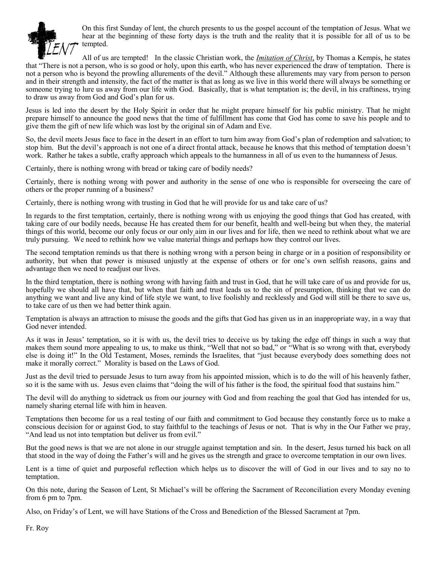

On this first Sunday of lent, the church presents to us the gospel account of the temptation of Jesus. What we hear at the beginning of these forty days is the truth and the reality that it is possible for all of us to be tempted.

All of us are tempted! In the classic Christian work, the *Imitation of Christ*, by Thomas a Kempis, he states that "There is not a person, who is so good or holy, upon this earth, who has never experienced the draw of temptation. There is not a person who is beyond the prowling allurements of the devil." Although these allurements may vary from person to person and in their strength and intensity, the fact of the matter is that as long as we live in this world there will always be something or someone trying to lure us away from our life with God. Basically, that is what temptation is; the devil, in his craftiness, trying to draw us away from God and God's plan for us.

Jesus is led into the desert by the Holy Spirit in order that he might prepare himself for his public ministry. That he might prepare himself to announce the good news that the time of fulfillment has come that God has come to save his people and to give them the gift of new life which was lost by the original sin of Adam and Eve.

So, the devil meets Jesus face to face in the desert in an effort to turn him away from God's plan of redemption and salvation; to stop him. But the devil's approach is not one of a direct frontal attack, because he knows that this method of temptation doesn't work. Rather he takes a subtle, crafty approach which appeals to the humanness in all of us even to the humanness of Jesus.

Certainly, there is nothing wrong with bread or taking care of bodily needs?

Certainly, there is nothing wrong with power and authority in the sense of one who is responsible for overseeing the care of others or the proper running of a business?

Certainly, there is nothing wrong with trusting in God that he will provide for us and take care of us?

In regards to the first temptation, certainly, there is nothing wrong with us enjoying the good things that God has created, with taking care of our bodily needs, because He has created them for our benefit, health and well-being but when they, the material things of this world, become our only focus or our only aim in our lives and for life, then we need to rethink about what we are truly pursuing. We need to rethink how we value material things and perhaps how they control our lives.

The second temptation reminds us that there is nothing wrong with a person being in charge or in a position of responsibility or authority, but when that power is misused unjustly at the expense of others or for one's own selfish reasons, gains and advantage then we need to readjust our lives.

In the third temptation, there is nothing wrong with having faith and trust in God, that he will take care of us and provide for us, hopefully we should all have that, but when that faith and trust leads us to the sin of presumption, thinking that we can do anything we want and live any kind of life style we want, to live foolishly and recklessly and God will still be there to save us, to take care of us then we had better think again.

Temptation is always an attraction to misuse the goods and the gifts that God has given us in an inappropriate way, in a way that God never intended.

As it was in Jesus' temptation, so it is with us, the devil tries to deceive us by taking the edge off things in such a way that makes them sound more appealing to us, to make us think, "Well that not so bad," or "What is so wrong with that, everybody else is doing it!" In the Old Testament, Moses, reminds the Israelites, that "just because everybody does something does not make it morally correct." Morality is based on the Laws of God.

Just as the devil tried to persuade Jesus to turn away from his appointed mission, which is to do the will of his heavenly father, so it is the same with us. Jesus even claims that "doing the will of his father is the food, the spiritual food that sustains him."

The devil will do anything to sidetrack us from our journey with God and from reaching the goal that God has intended for us, namely sharing eternal life with him in heaven.

Temptations then become for us a real testing of our faith and commitment to God because they constantly force us to make a conscious decision for or against God, to stay faithful to the teachings of Jesus or not. That is why in the Our Father we pray, "And lead us not into temptation but deliver us from evil."

But the good news is that we are not alone in our struggle against temptation and sin. In the desert, Jesus turned his back on all that stood in the way of doing the Father's will and he gives us the strength and grace to overcome temptation in our own lives.

Lent is a time of quiet and purposeful reflection which helps us to discover the will of God in our lives and to say no to temptation.

On this note, during the Season of Lent, St Michael's will be offering the Sacrament of Reconciliation every Monday evening from 6 pm to 7pm.

Also, on Friday's of Lent, we will have Stations of the Cross and Benediction of the Blessed Sacrament at 7pm.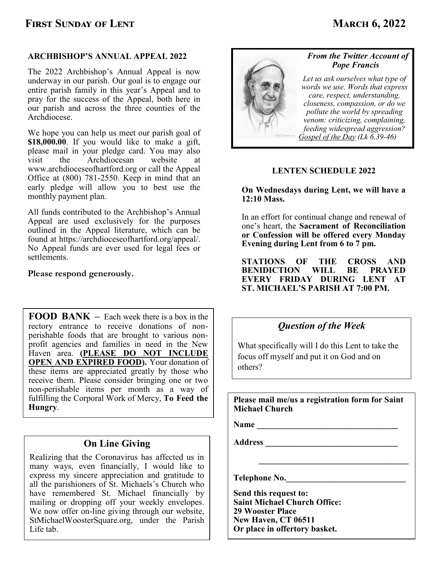## **FIRST SUNDAY OF LENT MARCH 6, 2022**

## **ARCHBISHOP'S ANNUAL APPEAL 2022**

The 2022 Archbishop's Annual Appeal is now underway in our parish. Our goal is to engage our entire parish family in this year's Appeal and to pray for the success of the Appeal, both here in our parish and across the three counties of the Archdiocese.

We hope you can help us meet our parish goal of **\$18,000.00**. If you would like to make a gift, please mail in your pledge card. You may also visit the Archdiocesan website at www.archdioceseofhartford.org or call the Appeal Office at (800) 781-2550. Keep in mind that an early pledge will allow you to best use the monthly payment plan.

All funds contributed to the Archbishop's Annual Appeal are used exclusively for the purposes outlined in the Appeal literature, which can be found at https://archdioceseofhartford.org/appeal/. No Appeal funds are ever used for legal fees or settlements.

### **Please respond generously.**

**FOOD BANK –** Each week there is a box in the rectory entrance to receive donations of nonperishable foods that are brought to various nonprofit agencies and families in need in the New Haven area. **(PLEASE DO NOT INCLUDE OPEN AND EXPIRED FOOD).** Your donation of these items are appreciated greatly by those who receive them. Please consider bringing one or two non-perishable items per month as a way of fulfilling the Corporal Work of Mercy, **To Feed the Hungry**.

## **On Line Giving**

Realizing that the Coronavirus has affected us in many ways, even financially, I would like to express my sincere appreciation and gratitude to all the parishioners of St. Michaels's Church who have remembered St. Michael financially by mailing or dropping off your weekly envelopes. We now offer on-line giving through our website, StMichaelWoosterSquare.org, under the Parish Life tab.



## *From the Twitter Account of Pope Francis*

*Let us ask ourselves what type of words we use. Words that express care, respect, understanding, closeness, compassion, or do we pollute the world by spreading venom: criticizing, complaining, feeding widespread aggression? [Gospel of the Day](https://twitter.com/hashtag/GospeloftheDay?src=hashtag_click) (Lk 6,39-46)* 

## **LENTEN SCHEDULE 2022**

**On Wednesdays during Lent, we will have a 12:10 Mass.**

In an effort for continual change and renewal of one's heart, the **Sacrament of Reconciliation or Confession will be offered every Monday Evening during Lent from 6 to 7 pm.**

**STATIONS OF THE CROSS AND BENIDICTION WILL BE PRAYED EVERY FRIDAY DURING LENT AT ST. MICHAEL'S PARISH AT 7:00 PM.**

## *Question of the Week*

What specifically will I do this Lent to take the focus off myself and put it on God and on others?

**Please mail me/us a registration form for Saint Michael Church**

 $\mathcal{L} = \mathcal{L} \mathcal{L} = \mathcal{L} \mathcal{L} = \mathcal{L} \mathcal{L} \mathcal{L} = \mathcal{L} \mathcal{L} \mathcal{L} = \mathcal{L} \mathcal{L} \mathcal{L} \mathcal{L} = \mathcal{L} \mathcal{L} \mathcal{L} \mathcal{L} = \mathcal{L} \mathcal{L} \mathcal{L} \mathcal{L} \mathcal{L} \mathcal{L}$ 

**Name** 

**Address \_\_\_\_\_\_\_\_\_\_\_\_\_\_\_\_\_\_\_\_\_\_\_\_\_\_\_\_\_\_\_**

**Telephone No.\_\_\_\_\_\_\_\_\_\_\_\_\_\_\_\_\_\_\_\_\_\_\_\_\_\_\_\_**

**Send this request to: Saint Michael Church Office: 29 Wooster Place New Haven, CT 06511 Or place in offertory basket.**